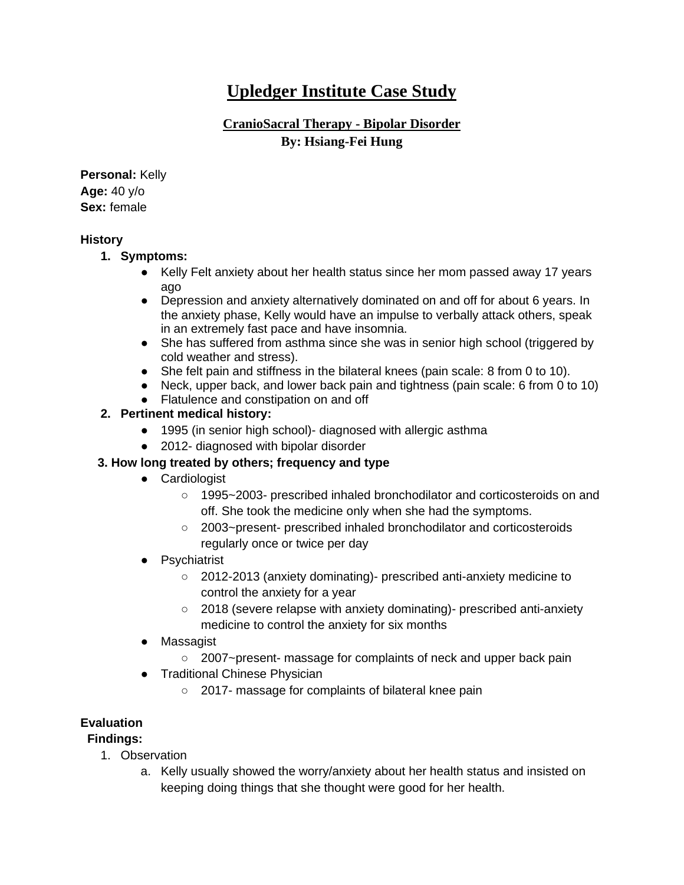# **Upledger Institute Case Study**

## **CranioSacral Therapy - Bipolar Disorder By: Hsiang-Fei Hung**

**Personal:** Kelly **Age:** 40 y/o **Sex:** female

#### **History**

- **1. Symptoms:** 
	- Kelly Felt anxiety about her health status since her mom passed away 17 years ago
	- Depression and anxiety alternatively dominated on and off for about 6 years. In the anxiety phase, Kelly would have an impulse to verbally attack others, speak in an extremely fast pace and have insomnia.
	- She has suffered from asthma since she was in senior high school (triggered by cold weather and stress).
	- She felt pain and stiffness in the bilateral knees (pain scale: 8 from 0 to 10).
	- Neck, upper back, and lower back pain and tightness (pain scale: 6 from 0 to 10)
	- Flatulence and constipation on and off

#### **2. Pertinent medical history:**

- 1995 (in senior high school)- diagnosed with allergic asthma
- 2012- diagnosed with bipolar disorder

#### **3. How long treated by others; frequency and type**

- Cardiologist
	- 1995~2003- prescribed inhaled bronchodilator and corticosteroids on and off. She took the medicine only when she had the symptoms.
	- 2003~present- prescribed inhaled bronchodilator and corticosteroids regularly once or twice per day

#### ● Psychiatrist

- 2012-2013 (anxiety dominating)- prescribed anti-anxiety medicine to control the anxiety for a year
- 2018 (severe relapse with anxiety dominating)- prescribed anti-anxiety medicine to control the anxiety for six months
- Massagist
	- 2007~present- massage for complaints of neck and upper back pain
- Traditional Chinese Physician
	- 2017- massage for complaints of bilateral knee pain

#### **Evaluation**

#### **Findings:**

- 1. Observation
	- a. Kelly usually showed the worry/anxiety about her health status and insisted on keeping doing things that she thought were good for her health.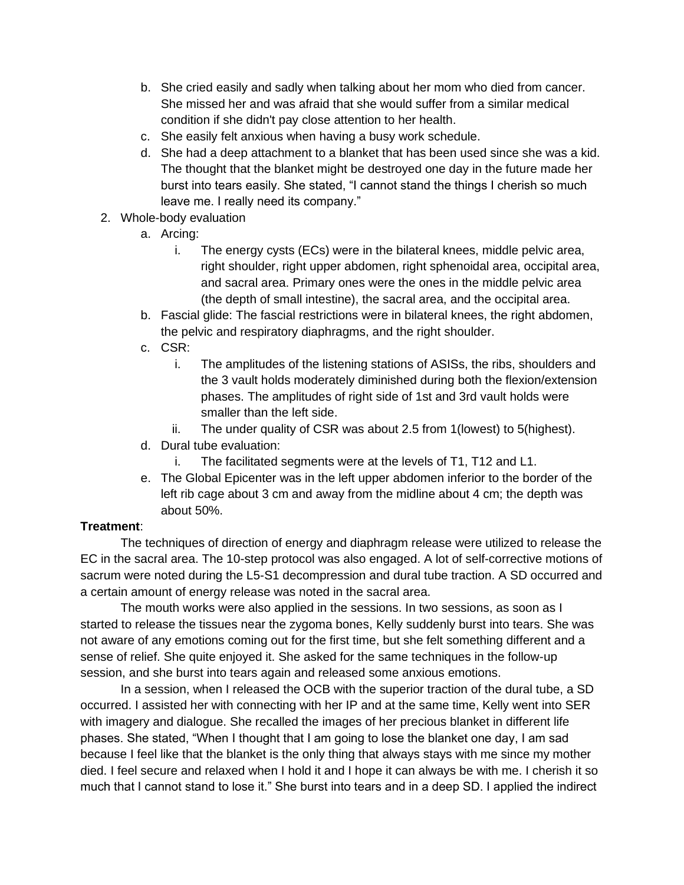- b. She cried easily and sadly when talking about her mom who died from cancer. She missed her and was afraid that she would suffer from a similar medical condition if she didn't pay close attention to her health.
- c. She easily felt anxious when having a busy work schedule.
- d. She had a deep attachment to a blanket that has been used since she was a kid. The thought that the blanket might be destroyed one day in the future made her burst into tears easily. She stated, "I cannot stand the things I cherish so much leave me. I really need its company."
- 2. Whole-body evaluation
	- a. Arcing:
		- i. The energy cysts (ECs) were in the bilateral knees, middle pelvic area, right shoulder, right upper abdomen, right sphenoidal area, occipital area, and sacral area. Primary ones were the ones in the middle pelvic area (the depth of small intestine), the sacral area, and the occipital area.
	- b. Fascial glide: The fascial restrictions were in bilateral knees, the right abdomen, the pelvic and respiratory diaphragms, and the right shoulder.
	- c. CSR:
		- i. The amplitudes of the listening stations of ASISs, the ribs, shoulders and the 3 vault holds moderately diminished during both the flexion/extension phases. The amplitudes of right side of 1st and 3rd vault holds were smaller than the left side.
		- ii. The under quality of CSR was about 2.5 from 1(lowest) to 5(highest).
	- d. Dural tube evaluation:
		- i. The facilitated segments were at the levels of T1, T12 and L1.
	- e. The Global Epicenter was in the left upper abdomen inferior to the border of the left rib cage about 3 cm and away from the midline about 4 cm; the depth was about 50%.

#### **Treatment**:

The techniques of direction of energy and diaphragm release were utilized to release the EC in the sacral area. The 10-step protocol was also engaged. A lot of self-corrective motions of sacrum were noted during the L5-S1 decompression and dural tube traction. A SD occurred and a certain amount of energy release was noted in the sacral area.

The mouth works were also applied in the sessions. In two sessions, as soon as I started to release the tissues near the zygoma bones, Kelly suddenly burst into tears. She was not aware of any emotions coming out for the first time, but she felt something different and a sense of relief. She quite enjoyed it. She asked for the same techniques in the follow-up session, and she burst into tears again and released some anxious emotions.

In a session, when I released the OCB with the superior traction of the dural tube, a SD occurred. I assisted her with connecting with her IP and at the same time, Kelly went into SER with imagery and dialogue. She recalled the images of her precious blanket in different life phases. She stated, "When I thought that I am going to lose the blanket one day, I am sad because I feel like that the blanket is the only thing that always stays with me since my mother died. I feel secure and relaxed when I hold it and I hope it can always be with me. I cherish it so much that I cannot stand to lose it." She burst into tears and in a deep SD. I applied the indirect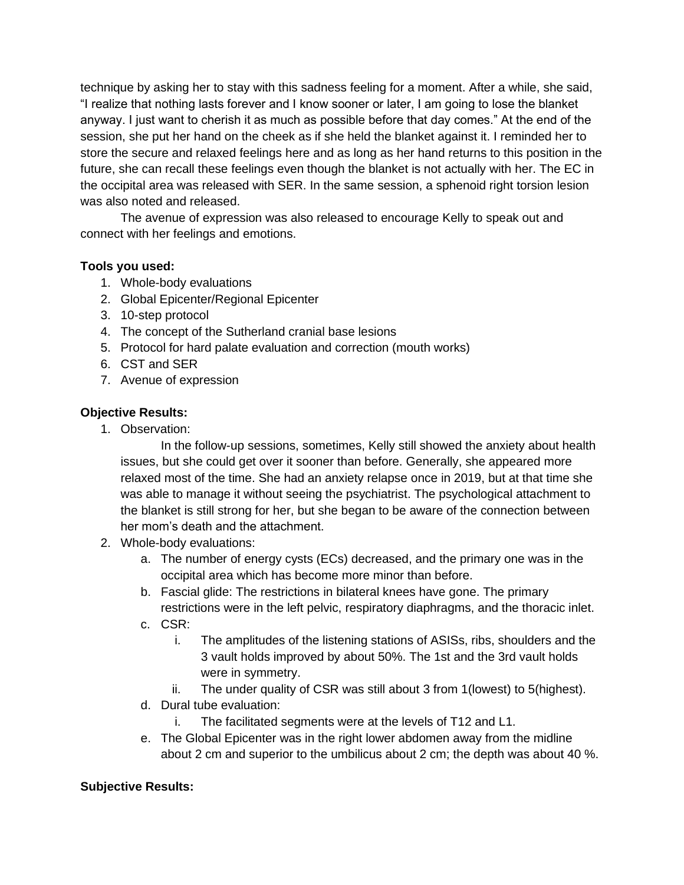technique by asking her to stay with this sadness feeling for a moment. After a while, she said, "I realize that nothing lasts forever and I know sooner or later, I am going to lose the blanket anyway. I just want to cherish it as much as possible before that day comes." At the end of the session, she put her hand on the cheek as if she held the blanket against it. I reminded her to store the secure and relaxed feelings here and as long as her hand returns to this position in the future, she can recall these feelings even though the blanket is not actually with her. The EC in the occipital area was released with SER. In the same session, a sphenoid right torsion lesion was also noted and released.

The avenue of expression was also released to encourage Kelly to speak out and connect with her feelings and emotions.

#### **Tools you used:**

- 1. Whole-body evaluations
- 2. Global Epicenter/Regional Epicenter
- 3. 10-step protocol
- 4. The concept of the Sutherland cranial base lesions
- 5. Protocol for hard palate evaluation and correction (mouth works)
- 6. CST and SER
- 7. Avenue of expression

### **Objective Results:**

1. Observation:

In the follow-up sessions, sometimes, Kelly still showed the anxiety about health issues, but she could get over it sooner than before. Generally, she appeared more relaxed most of the time. She had an anxiety relapse once in 2019, but at that time she was able to manage it without seeing the psychiatrist. The psychological attachment to the blanket is still strong for her, but she began to be aware of the connection between her mom's death and the attachment.

- 2. Whole-body evaluations:
	- a. The number of energy cysts (ECs) decreased, and the primary one was in the occipital area which has become more minor than before.
	- b. Fascial glide: The restrictions in bilateral knees have gone. The primary restrictions were in the left pelvic, respiratory diaphragms, and the thoracic inlet.
	- c. CSR:
		- i. The amplitudes of the listening stations of ASISs, ribs, shoulders and the 3 vault holds improved by about 50%. The 1st and the 3rd vault holds were in symmetry.
		- ii. The under quality of CSR was still about 3 from 1(lowest) to 5(highest).
	- d. Dural tube evaluation:
		- i. The facilitated segments were at the levels of T12 and L1.
	- e. The Global Epicenter was in the right lower abdomen away from the midline about 2 cm and superior to the umbilicus about 2 cm; the depth was about 40 %.

#### **Subjective Results:**